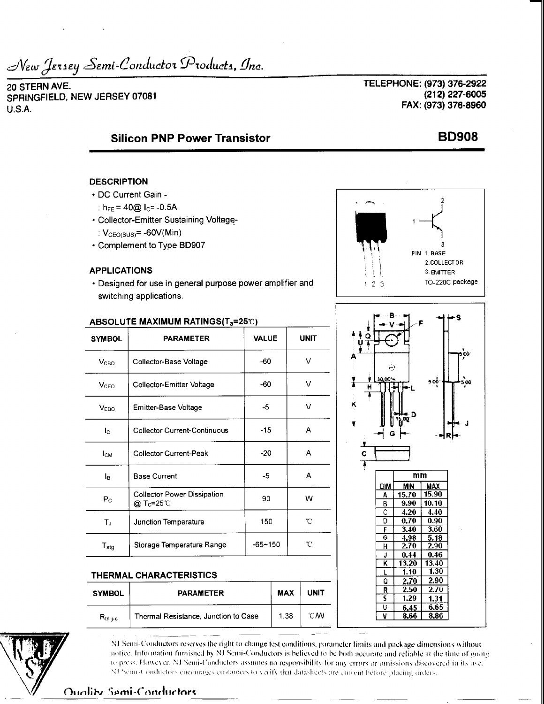New Jersey Semi-Conductor Products, Inc.

20 STERN AVE. SPRINGFIELD, NEW JERSEY 07081  $U.S.A.$ 

TELEPHONE: (973) 376-2922 (212) 227-6005 FAX: (973) 376-8960

PIN 1. BASE

 $1\,2\,3$ 

C

2.COLLECTOR

TO-220C package

۱O٥

3. BMITTER

500

# **Silicon PNP Power Transistor**

## **DESCRIPTION**

- DC Current Gain -
	- :  $h_{EF} = 40@$   $I_C = -0.5A$
- Collector-Emitter Sustaining Voltage-:  $V_{\text{CEO(SUS)}} = -60V(Min)$
- Complement to Type BD907

### **APPLICATIONS**

· Designed for use in general purpose power amplifier and switching applications.



**PARAMETER** 

Thermal Resistance, Junction to Case

#### $mm$ **DIM** MIN | MAX 15.90 <u>15.70 </u> A B  $9.90$  $10.10$  $4.20$ 4.40 Ĉ Ð 0.70 0.90 £. 3.40  $3.60$ Ç. 4.98 5.18  $H$  $2.70$ 2.90  $0.44$ 0.46 J κ  $13.20$ 13.40  $1.30$  $1.10$ Q 2.70 2.90 R 2.50 2.70 S  $1.29$  $1.31$  $\overline{\mathsf{U}}$  $6.45$  $6.65$

8.66

 $8.86$ 

 $\overline{\mathtt{v}}$ 

# $R_{th}$ <sub>j-c</sub>

NJ Semi-Conductors reserves the right to change test conditions, parameter limits and package dimensions without notice. Information furnished by NJ Semi-Conductors is believed to be both accurate and reliable at the time of going to press. However, NJ Semi-Conductors assumes no responsibility for any errors or omissions discovered in its use. NJ Semi-Conductors encourages customers to verify that datasheets are current before placing orders.

**MAX** 

1.38

**UNIT** 

°CM

Quality Semi-Conductors

**SYMBOL** 

# **BD908**